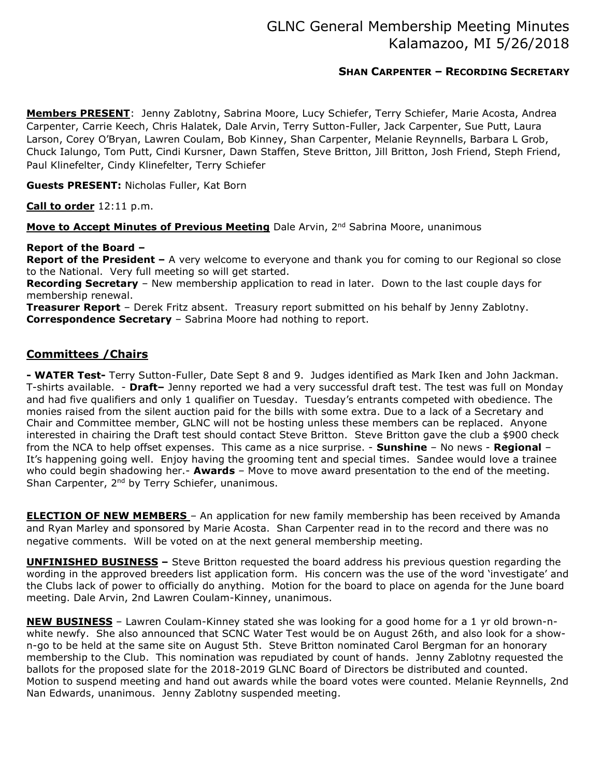# GLNC General Membership Meeting Minutes Kalamazoo, MI 5/26/2018

### SHAN CARPENTER – RECORDING SECRETARY

Members PRESENT: Jenny Zablotny, Sabrina Moore, Lucy Schiefer, Terry Schiefer, Marie Acosta, Andrea Carpenter, Carrie Keech, Chris Halatek, Dale Arvin, Terry Sutton-Fuller, Jack Carpenter, Sue Putt, Laura Larson, Corey O'Bryan, Lawren Coulam, Bob Kinney, Shan Carpenter, Melanie Reynnells, Barbara L Grob, Chuck Ialungo, Tom Putt, Cindi Kursner, Dawn Staffen, Steve Britton, Jill Britton, Josh Friend, Steph Friend, Paul Klinefelter, Cindy Klinefelter, Terry Schiefer

Guests PRESENT: Nicholas Fuller, Kat Born

Call to order 12:11 p.m.

Move to Accept Minutes of Previous Meeting Dale Arvin, 2<sup>nd</sup> Sabrina Moore, unanimous

#### Report of the Board –

Report of the President – A very welcome to everyone and thank you for coming to our Regional so close to the National. Very full meeting so will get started.

Recording Secretary – New membership application to read in later. Down to the last couple days for membership renewal.

Treasurer Report - Derek Fritz absent. Treasury report submitted on his behalf by Jenny Zablotny. Correspondence Secretary – Sabrina Moore had nothing to report.

### Committees /Chairs

- WATER Test- Terry Sutton-Fuller, Date Sept 8 and 9. Judges identified as Mark Iken and John Jackman. T-shirts available. - Draft- Jenny reported we had a very successful draft test. The test was full on Monday and had five qualifiers and only 1 qualifier on Tuesday. Tuesday's entrants competed with obedience. The monies raised from the silent auction paid for the bills with some extra. Due to a lack of a Secretary and Chair and Committee member, GLNC will not be hosting unless these members can be replaced. Anyone interested in chairing the Draft test should contact Steve Britton. Steve Britton gave the club a \$900 check from the NCA to help offset expenses. This came as a nice surprise. - **Sunshine** - No news - **Regional** -It's happening going well. Enjoy having the grooming tent and special times. Sandee would love a trainee who could begin shadowing her.- **Awards** – Move to move award presentation to the end of the meeting. Shan Carpenter, 2<sup>nd</sup> by Terry Schiefer, unanimous.

**ELECTION OF NEW MEMBERS** - An application for new family membership has been received by Amanda and Ryan Marley and sponsored by Marie Acosta. Shan Carpenter read in to the record and there was no negative comments. Will be voted on at the next general membership meeting.

UNFINISHED BUSINESS – Steve Britton requested the board address his previous question regarding the wording in the approved breeders list application form. His concern was the use of the word 'investigate' and the Clubs lack of power to officially do anything. Motion for the board to place on agenda for the June board meeting. Dale Arvin, 2nd Lawren Coulam-Kinney, unanimous.

NEW BUSINESS - Lawren Coulam-Kinney stated she was looking for a good home for a 1 yr old brown-nwhite newfy. She also announced that SCNC Water Test would be on August 26th, and also look for a shown-go to be held at the same site on August 5th. Steve Britton nominated Carol Bergman for an honorary membership to the Club. This nomination was repudiated by count of hands. Jenny Zablotny requested the ballots for the proposed slate for the 2018-2019 GLNC Board of Directors be distributed and counted. Motion to suspend meeting and hand out awards while the board votes were counted. Melanie Reynnells, 2nd Nan Edwards, unanimous. Jenny Zablotny suspended meeting.